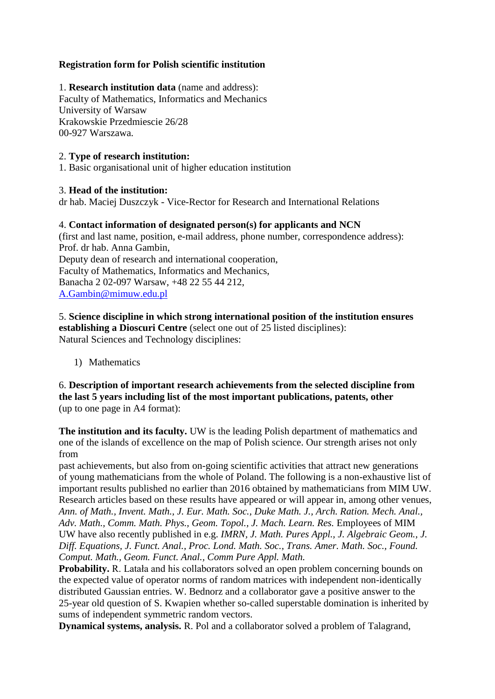# **Registration form for Polish scientific institution**

1. **Research institution data** (name and address): Faculty of Mathematics, Informatics and Mechanics University of Warsaw Krakowskie Przedmiescie 26/28 00-927 Warszawa.

# 2. **Type of research institution:**

1. Basic organisational unit of higher education institution

# 3. **Head of the institution:**

dr hab. Maciej Duszczyk - Vice-Rector for Research and International Relations

# 4. **Contact information of designated person(s) for applicants and NCN**

(first and last name, position, e-mail address, phone number, correspondence address): Prof. dr hab. Anna Gambin, Deputy dean of research and international cooperation, Faculty of Mathematics, Informatics and Mechanics, Banacha 2 02-097 Warsaw, +48 22 55 44 212, [A.Gambin@mimuw.edu.pl](mailto:A.Gambin@mimuw.edu.pl)

5. **Science discipline in which strong international position of the institution ensures establishing a Dioscuri Centre** (select one out of 25 listed disciplines): Natural Sciences and Technology disciplines:

1) Mathematics

6. **Description of important research achievements from the selected discipline from the last 5 years including list of the most important publications, patents, other** (up to one page in A4 format):

**The institution and its faculty.** UW is the leading Polish department of mathematics and one of the islands of excellence on the map of Polish science. Our strength arises not only from

past achievements, but also from on-going scientific activities that attract new generations of young mathematicians from the whole of Poland. The following is a non-exhaustive list of important results published no earlier than 2016 obtained by mathematicians from MIM UW. Research articles based on these results have appeared or will appear in, among other venues, *Ann. of Math., Invent. Math., J. Eur. Math. Soc., Duke Math. J., Arch. Ration. Mech. Anal.,* Adv. Math., Comm. Math. Phys., Geom. Topol., J. Mach. Learn. Res. Employees of MIM UW have also recently published in e.g. *IMRN, J. Math. Pures Appl., J. Algebraic Geom., J. Diff. Equations, J. Funct. Anal., Proc. Lond. Math. Soc., Trans. Amer. Math. Soc., Found. Comput. Math., Geom. Funct. Anal., Comm Pure Appl. Math.*

**Probability.** R. Latała and his collaborators solved an open problem concerning bounds on the expected value of operator norms of random matrices with independent non-identically distributed Gaussian entries. W. Bednorz and a collaborator gave a positive answer to the 25-year old question of S. Kwapien whether so-called superstable domination is inherited by sums of independent symmetric random vectors.

**Dynamical systems, analysis.** R. Pol and a collaborator solved a problem of Talagrand,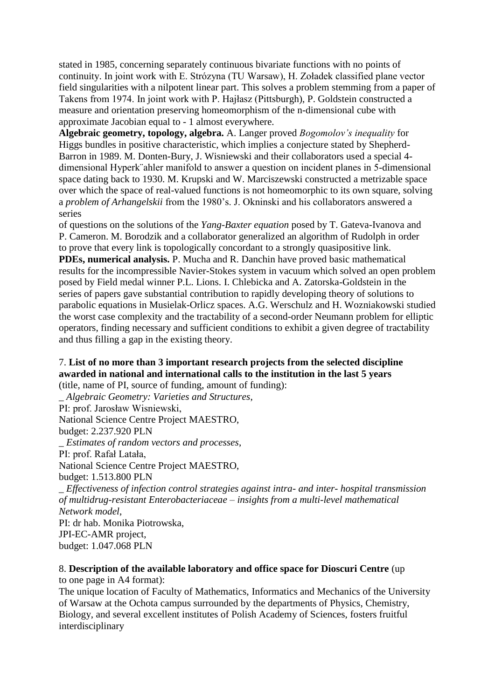stated in 1985, concerning separately continuous bivariate functions with no points of continuity. In joint work with E. Strózyna (TU Warsaw), H. Zoładek classified plane vector field singularities with a nilpotent linear part. This solves a problem stemming from a paper of Takens from 1974. In joint work with P. Hajłasz (Pittsburgh), P. Goldstein constructed a measure and orientation preserving homeomorphism of the n-dimensional cube with approximate Jacobian equal to - 1 almost everywhere.

**Algebraic geometry, topology, algebra.** A. Langer proved *Bogomolov's inequality* for Higgs bundles in positive characteristic, which implies a conjecture stated by Shepherd-Barron in 1989. M. Donten-Bury, J. Wisniewski and their collaborators used a special 4 dimensional Hyperk¨ahler manifold to answer a question on incident planes in 5-dimensional space dating back to 1930. M. Krupski and W. Marciszewski constructed a metrizable space over which the space of real-valued functions is not homeomorphic to its own square, solving a *problem of Arhangelskii* from the 1980's. J. Okninski and his collaborators answered a series

of questions on the solutions of the *Yang-Baxter equation* posed by T. Gateva-Ivanova and P. Cameron. M. Borodzik and a collaborator generalized an algorithm of Rudolph in order to prove that every link is topologically concordant to a strongly quasipositive link.

**PDEs, numerical analysis.** P. Mucha and R. Danchin have proved basic mathematical results for the incompressible Navier-Stokes system in vacuum which solved an open problem posed by Field medal winner P.L. Lions. I. Chlebicka and A. Zatorska-Goldstein in the series of papers gave substantial contribution to rapidly developing theory of solutions to parabolic equations in Musielak-Orlicz spaces. A.G. Werschulz and H. Wozniakowski studied the worst case complexity and the tractability of a second-order Neumann problem for elliptic operators, finding necessary and sufficient conditions to exhibit a given degree of tractability and thus filling a gap in the existing theory.

#### 7. **List of no more than 3 important research projects from the selected discipline awarded in national and international calls to the institution in the last 5 years** (title, name of PI, source of funding, amount of funding):

\_ *Algebraic Geometry: Varieties and Structures*, PI: prof. Jarosław Wisniewski, National Science Centre Project MAESTRO, budget: 2.237.920 PLN \_ *Estimates of random vectors and processes*, PI: prof. Rafał Latała, National Science Centre Project MAESTRO, budget: 1.513.800 PLN \_ *Effectiveness of infection control strategies against intra- and inter- hospital transmission of multidrug-resistant Enterobacteriaceae – insights from a multi-level mathematical Network model*, PI: dr hab. Monika Piotrowska, JPI-EC-AMR project, budget: 1.047.068 PLN

# 8. **Description of the available laboratory and office space for Dioscuri Centre** (up

to one page in A4 format):

The unique location of Faculty of Mathematics, Informatics and Mechanics of the University of Warsaw at the Ochota campus surrounded by the departments of Physics, Chemistry, Biology, and several excellent institutes of Polish Academy of Sciences, fosters fruitful interdisciplinary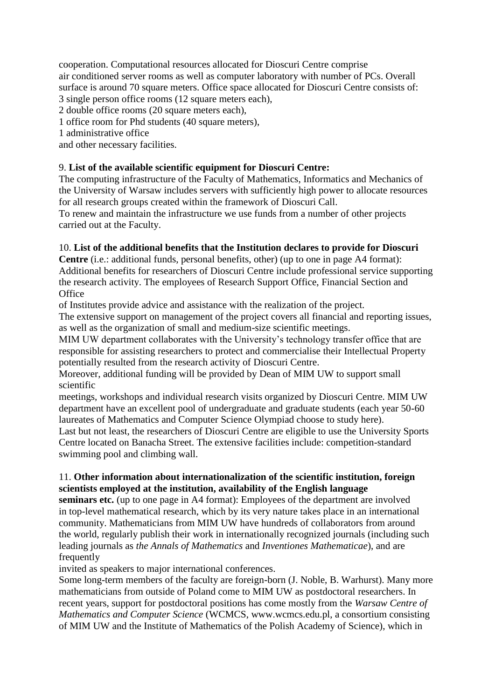cooperation. Computational resources allocated for Dioscuri Centre comprise air conditioned server rooms as well as computer laboratory with number of PCs. Overall surface is around 70 square meters. Office space allocated for Dioscuri Centre consists of: 3 single person office rooms (12 square meters each),

2 double office rooms (20 square meters each),

1 office room for Phd students (40 square meters),

1 administrative office

and other necessary facilities.

# 9. **List of the available scientific equipment for Dioscuri Centre:**

The computing infrastructure of the Faculty of Mathematics, Informatics and Mechanics of the University of Warsaw includes servers with sufficiently high power to allocate resources for all research groups created within the framework of Dioscuri Call.

To renew and maintain the infrastructure we use funds from a number of other projects carried out at the Faculty.

# 10. **List of the additional benefits that the Institution declares to provide for Dioscuri**

**Centre** (i.e.: additional funds, personal benefits, other) (up to one in page A4 format): Additional benefits for researchers of Dioscuri Centre include professional service supporting the research activity. The employees of Research Support Office, Financial Section and **Office** 

of Institutes provide advice and assistance with the realization of the project.

The extensive support on management of the project covers all financial and reporting issues, as well as the organization of small and medium-size scientific meetings.

MIM UW department collaborates with the University's technology transfer office that are responsible for assisting researchers to protect and commercialise their Intellectual Property potentially resulted from the research activity of Dioscuri Centre.

Moreover, additional funding will be provided by Dean of MIM UW to support small scientific

meetings, workshops and individual research visits organized by Dioscuri Centre. MIM UW department have an excellent pool of undergraduate and graduate students (each year 50-60 laureates of Mathematics and Computer Science Olympiad choose to study here).

Last but not least, the researchers of Dioscuri Centre are eligible to use the University Sports Centre located on Banacha Street. The extensive facilities include: competition-standard swimming pool and climbing wall.

# 11. **Other information about internationalization of the scientific institution, foreign scientists employed at the institution, availability of the English language**

**seminars etc.** (up to one page in A4 format): Employees of the department are involved in top-level mathematical research, which by its very nature takes place in an international community. Mathematicians from MIM UW have hundreds of collaborators from around the world, regularly publish their work in internationally recognized journals (including such leading journals as *the Annals of Mathematics* and *Inventiones Mathematicae*), and are frequently

invited as speakers to major international conferences.

Some long-term members of the faculty are foreign-born (J. Noble, B. Warhurst). Many more mathematicians from outside of Poland come to MIM UW as postdoctoral researchers. In recent years, support for postdoctoral positions has come mostly from the *Warsaw Centre of Mathematics and Computer Science* (WCMCS, www.wcmcs.edu.pl, a consortium consisting of MIM UW and the Institute of Mathematics of the Polish Academy of Science), which in